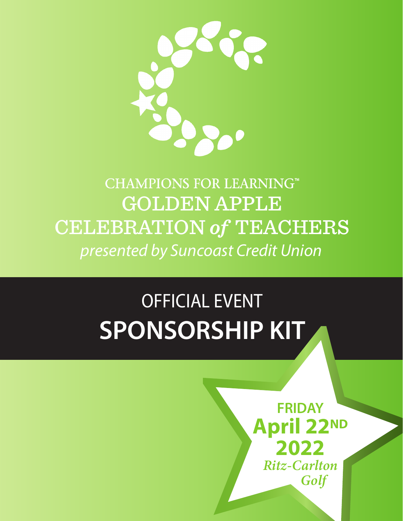

## **CHAMPIONS FOR LEARNING™** GOLDEN APPLE CELEBRATION *of* TEACHERS *presented by Suncoast Credit Union*

# OFFICIAL EVENT **SPONSORSHIP KIT**

**FRIDAY April 22ND 2022 Ritz-Carlton** Golf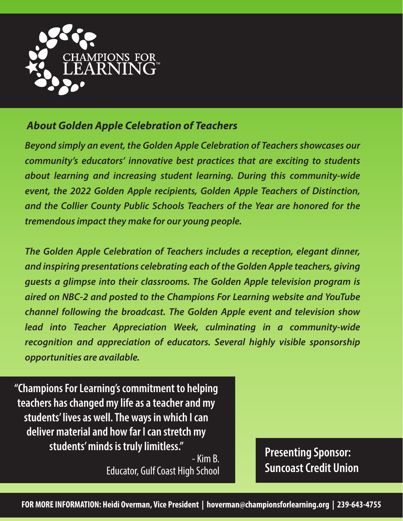

#### *About Golden Apple Celebration of Teachers*

*Beyond simply an event, the Golden Apple Celebration of Teachers showcases our community's educators' innovative best practices that are exciting to students about learning and increasing student learning. During this community-wide event, the 2022 Golden Apple recipients, Golden Apple Teachers of Distinction, and the Collier County Public Schools Teachers of the Year are honored for the tremendous impact they make for our young people.*

*The Golden Apple Celebration of Teachers includes a reception, elegant dinner, and inspiring presentations celebrating each of the Golden Apple teachers, giving guests a glimpse into their classrooms. The Golden Apple television program is aired on NBC-2 and posted to the Champions For Learning website and YouTube channel following the broadcast. The Golden Apple event and television show lead into Teacher Appreciation Week, culminating in a community-wide recognition and appreciation of educators. Several highly visible sponsorship opportunities are available.*

**"Champions For Learning's commitment to helping teachers has changed my life as a teacher and my students' lives as well. The ways in which I can deliver material and how far I can stretch my students' minds is truly limitless."**

> - Kim B. Educator, Gulf Coast High School

**Presenting Sponsor: Suncoast Credit Union**

**FOR MORE INFORMATION: Heidi Overman, Vice President | hoverman@championsforlearning.org | 239-643-4755**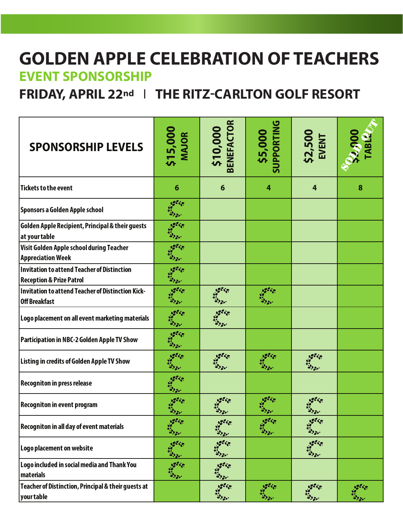#### **GOLDEN APPLE CELEBRATION OF TEACHERS EVENT SPONSORSHIP**

**FRIDAY, APRIL 22nd** | **THE RITZ-CARLTON GOLF RESORT**

| <b>SPONSORSHIP LEVELS</b>                                                                 | \$15,000<br>MAJOR                     | \$10,000<br>BENEFACTOR                    | \$5,000<br>SUPPORTING  | <b>\$2,500<br/>EVENT</b>              | $\frac{22,000}{100}$          |
|-------------------------------------------------------------------------------------------|---------------------------------------|-------------------------------------------|------------------------|---------------------------------------|-------------------------------|
| <b>Tickets to the event</b>                                                               | $6\phantom{1}6$                       | 6                                         | 4                      | $\overline{4}$                        | 8                             |
| Sponsors a Golden Apple school                                                            |                                       |                                           |                        |                                       |                               |
| Golden Apple Recipient, Principal & their guests<br>at your table                         |                                       |                                           |                        |                                       |                               |
| Visit Golden Apple school during Teacher<br><b>Appreciation Week</b>                      |                                       |                                           |                        |                                       |                               |
| <b>Invitation to attend Teacher of Distinction</b><br><b>Reception &amp; Prize Patrol</b> | 100000<br><b>Rio Ser</b>              |                                           |                        |                                       |                               |
| <b>Invitation to attend Teacher of Distinction Kick-</b><br><b>Off Breakfast</b>          | 100000                                | 5555                                      | 35500                  |                                       |                               |
| Logo placement on all event marketing materials                                           | $100 - 10$<br>1332                    | <b>ASSES</b>                              |                        |                                       |                               |
| Participation in NBC-2 Golden Apple TV Show                                               |                                       |                                           |                        |                                       |                               |
| <b>Listing in credits of Golden Apple TV Show</b>                                         | $s^{22}$<br>$\mathbf{F}_{\mathbf{a}}$ | 15550                                     | <u>ugese</u>           | <b>oglie</b><br>is<br><b>High 20'</b> |                               |
| <b>Recogniton in press release</b>                                                        | <b>office</b>                         |                                           |                        |                                       |                               |
| <b>Recogniton in event program</b>                                                        | ager <sub>ie</sub><br>K<br>99 y.,     | ••,,,                                     | .                      | <b>SISSE</b><br>$\bullet$             |                               |
| <b>Recogniton in all day of event materials</b>                                           | <b>Section</b><br>332                 | $\frac{1}{2}$<br><b>Kiesser</b>           | 15550<br>13320         | 15550                                 |                               |
| Logo placement on website                                                                 | 19550<br>3320                         | $10^{99}$<br>33.30'                       |                        | 15550<br><b>King Ser</b>              |                               |
| Logo included in social media and Thank You<br>materials                                  |                                       | 15555<br><b><i><u><b>ESSE</b></u></i></b> |                        |                                       |                               |
| Teacher of Distinction, Principal & their guests at<br>your table                         |                                       | 15555<br><b>Margar</b>                    | <b>oglice</b><br>10000 | 15550<br><b>Kingson</b>               | <b>office</b><br><b>RISES</b> |